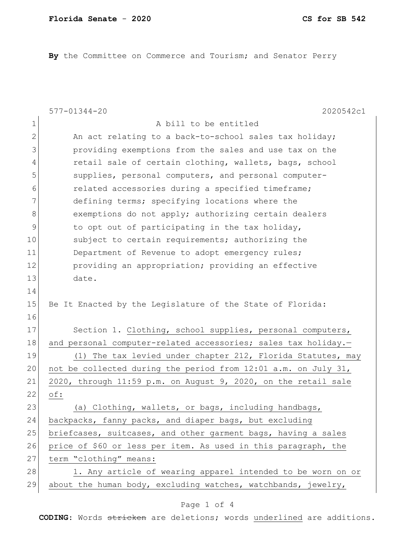**By** the Committee on Commerce and Tourism; and Senator Perry

|               | A bill to be entitled                                          |
|---------------|----------------------------------------------------------------|
| 1             |                                                                |
| $\mathbf{2}$  | An act relating to a back-to-school sales tax holiday;         |
| 3             | providing exemptions from the sales and use tax on the         |
| 4             | retail sale of certain clothing, wallets, bags, school         |
| 5             | supplies, personal computers, and personal computer-           |
| 6             | related accessories during a specified timeframe;              |
| 7             | defining terms; specifying locations where the                 |
| 8             | exemptions do not apply; authorizing certain dealers           |
| $\mathcal{G}$ | to opt out of participating in the tax holiday,                |
| 10            | subject to certain requirements; authorizing the               |
| 11            | Department of Revenue to adopt emergency rules;                |
| 12            | providing an appropriation; providing an effective             |
| 13            | date.                                                          |
| 14            |                                                                |
| 15            | Be It Enacted by the Legislature of the State of Florida:      |
| 16            |                                                                |
| 17            | Section 1. Clothing, school supplies, personal computers,      |
| 18            | and personal computer-related accessories; sales tax holiday.- |
| 19            | (1) The tax levied under chapter 212, Florida Statutes, may    |
| 20            | not be collected during the period from 12:01 a.m. on July 31, |
| 21            | 2020, through 11:59 p.m. on August 9, 2020, on the retail sale |
| 22<br>of:     |                                                                |
| 23            | (a) Clothing, wallets, or bags, including handbags,            |
| 24            | backpacks, fanny packs, and diaper bags, but excluding         |
| 25            | briefcases, suitcases, and other garment bags, having a sales  |
| 26            | price of \$60 or less per item. As used in this paragraph, the |
| 27            | term "clothing" means:                                         |
| 28            | 1. Any article of wearing apparel intended to be worn on or    |
| 29            | about the human body, excluding watches, watchbands, jewelry,  |

## Page 1 of 4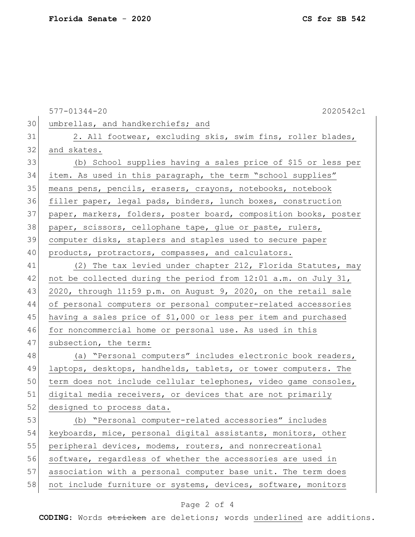577-01344-20 2020542c1 30 | umbrellas, and handkerchiefs; and 31 2. All footwear, excluding skis, swim fins, roller blades, 32 and skates. 33 (b) School supplies having a sales price of \$15 or less per 34 item. As used in this paragraph, the term "school supplies" 35 means pens, pencils, erasers, crayons, notebooks, notebook 36 filler paper, legal pads, binders, lunch boxes, construction 37 paper, markers, folders, poster board, composition books, poster 38 paper, scissors, cellophane tape, glue or paste, rulers, 39 computer disks, staplers and staples used to secure paper 40 products, protractors, compasses, and calculators. 41 (2) The tax levied under chapter 212, Florida Statutes, may 42 not be collected during the period from  $12:01$  a.m. on July 31, 43 2020, through 11:59 p.m. on August 9, 2020, on the retail sale 44 of personal computers or personal computer-related accessories 45 having a sales price of \$1,000 or less per item and purchased 46 for noncommercial home or personal use. As used in this 47 subsection, the term: 48 (a) "Personal computers" includes electronic book readers, 49 laptops, desktops, handhelds, tablets, or tower computers. The 50 term does not include cellular telephones, video game consoles, 51 digital media receivers, or devices that are not primarily 52 designed to process data. 53 (b) "Personal computer-related accessories" includes 54 keyboards, mice, personal digital assistants, monitors, other 55 peripheral devices, modems, routers, and nonrecreational 56 software, regardless of whether the accessories are used in 57 association with a personal computer base unit. The term does 58 not include furniture or systems, devices, software, monitors

## Page 2 of 4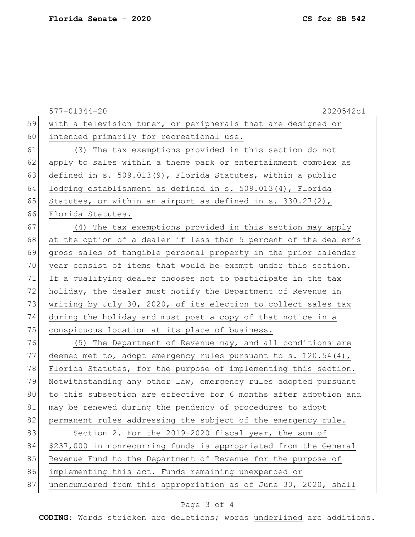|    | $577 - 01344 - 20$<br>2020542c1                                   |
|----|-------------------------------------------------------------------|
| 59 | with a television tuner, or peripherals that are designed or      |
| 60 | intended primarily for recreational use.                          |
| 61 | (3) The tax exemptions provided in this section do not            |
| 62 | apply to sales within a theme park or entertainment complex as    |
| 63 | defined in s. 509.013(9), Florida Statutes, within a public       |
| 64 | lodging establishment as defined in s. 509.013(4), Florida        |
| 65 | Statutes, or within an airport as defined in s. $330.27(2)$ ,     |
| 66 | Florida Statutes.                                                 |
| 67 | (4) The tax exemptions provided in this section may apply         |
| 68 | at the option of a dealer if less than 5 percent of the dealer's  |
| 69 | gross sales of tangible personal property in the prior calendar   |
| 70 | year consist of items that would be exempt under this section.    |
| 71 | If a qualifying dealer chooses not to participate in the tax      |
| 72 | holiday, the dealer must notify the Department of Revenue in      |
| 73 | writing by July 30, 2020, of its election to collect sales tax    |
| 74 | during the holiday and must post a copy of that notice in a       |
| 75 | conspicuous location at its place of business.                    |
| 76 | (5) The Department of Revenue may, and all conditions are         |
| 77 | deemed met to, adopt emergency rules pursuant to s. $120.54(4)$ , |
| 78 | Florida Statutes, for the purpose of implementing this section.   |
| 79 | Notwithstanding any other law, emergency rules adopted pursuant   |
| 80 | to this subsection are effective for 6 months after adoption and  |
| 81 | may be renewed during the pendency of procedures to adopt         |
| 82 | permanent rules addressing the subject of the emergency rule.     |
| 83 | Section 2. For the 2019-2020 fiscal year, the sum of              |
| 84 | \$237,000 in nonrecurring funds is appropriated from the General  |
| 85 | Revenue Fund to the Department of Revenue for the purpose of      |
| 86 | implementing this act. Funds remaining unexpended or              |
| 87 | unencumbered from this appropriation as of June 30, 2020, shall   |
|    |                                                                   |

## Page 3 of 4